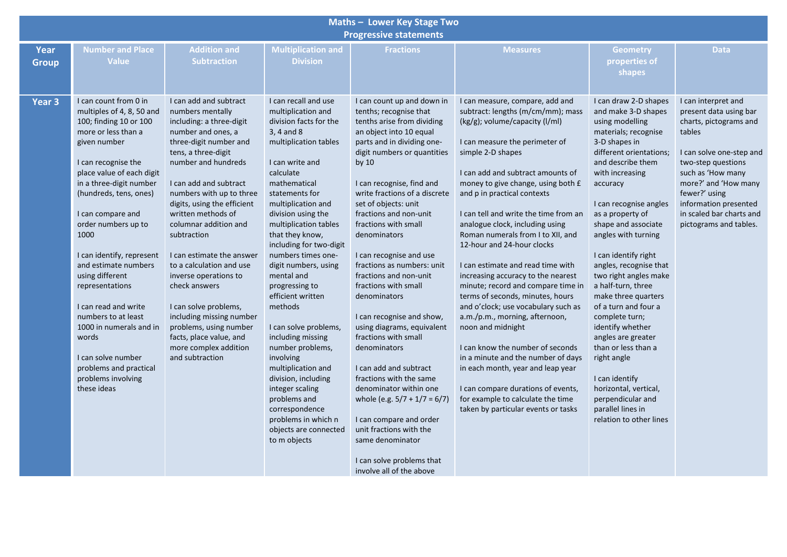| Maths - Lower Key Stage Two |                                                                                                                                                                                                                                                                                                                                                                                                                                                                                                                                                     |                                                                                                                                                                                                                                                                                                                                                                                                                                                                                                                                                                                  |                                                                                                                                                                                                                                                                                                                                                                                                                                                                                                                                                                                                                                                                 |                                                                                                                                                                                                                                                                                                                                                                                                                                                                                                                                                                                                                                                                                                                                                                                                                                |                                                                                                                                                                                                                                                                                                                                                                                                                                                                                                                                                                                                                                                                                                                                                                                                                                                                                                            |                                                                                                                                                                                                                                                                                                                                                                                                                                                                                                                                                                                                                                                       |                                                                                                                                                                                                                                                                                  |  |  |  |  |  |  |  |
|-----------------------------|-----------------------------------------------------------------------------------------------------------------------------------------------------------------------------------------------------------------------------------------------------------------------------------------------------------------------------------------------------------------------------------------------------------------------------------------------------------------------------------------------------------------------------------------------------|----------------------------------------------------------------------------------------------------------------------------------------------------------------------------------------------------------------------------------------------------------------------------------------------------------------------------------------------------------------------------------------------------------------------------------------------------------------------------------------------------------------------------------------------------------------------------------|-----------------------------------------------------------------------------------------------------------------------------------------------------------------------------------------------------------------------------------------------------------------------------------------------------------------------------------------------------------------------------------------------------------------------------------------------------------------------------------------------------------------------------------------------------------------------------------------------------------------------------------------------------------------|--------------------------------------------------------------------------------------------------------------------------------------------------------------------------------------------------------------------------------------------------------------------------------------------------------------------------------------------------------------------------------------------------------------------------------------------------------------------------------------------------------------------------------------------------------------------------------------------------------------------------------------------------------------------------------------------------------------------------------------------------------------------------------------------------------------------------------|------------------------------------------------------------------------------------------------------------------------------------------------------------------------------------------------------------------------------------------------------------------------------------------------------------------------------------------------------------------------------------------------------------------------------------------------------------------------------------------------------------------------------------------------------------------------------------------------------------------------------------------------------------------------------------------------------------------------------------------------------------------------------------------------------------------------------------------------------------------------------------------------------------|-------------------------------------------------------------------------------------------------------------------------------------------------------------------------------------------------------------------------------------------------------------------------------------------------------------------------------------------------------------------------------------------------------------------------------------------------------------------------------------------------------------------------------------------------------------------------------------------------------------------------------------------------------|----------------------------------------------------------------------------------------------------------------------------------------------------------------------------------------------------------------------------------------------------------------------------------|--|--|--|--|--|--|--|
|                             | <b>Progressive statements</b>                                                                                                                                                                                                                                                                                                                                                                                                                                                                                                                       |                                                                                                                                                                                                                                                                                                                                                                                                                                                                                                                                                                                  |                                                                                                                                                                                                                                                                                                                                                                                                                                                                                                                                                                                                                                                                 |                                                                                                                                                                                                                                                                                                                                                                                                                                                                                                                                                                                                                                                                                                                                                                                                                                |                                                                                                                                                                                                                                                                                                                                                                                                                                                                                                                                                                                                                                                                                                                                                                                                                                                                                                            |                                                                                                                                                                                                                                                                                                                                                                                                                                                                                                                                                                                                                                                       |                                                                                                                                                                                                                                                                                  |  |  |  |  |  |  |  |
| <b>Year</b><br><b>Group</b> | <b>Number and Place</b><br><b>Value</b>                                                                                                                                                                                                                                                                                                                                                                                                                                                                                                             | <b>Addition and</b><br><b>Subtraction</b>                                                                                                                                                                                                                                                                                                                                                                                                                                                                                                                                        | <b>Multiplication and</b><br><b>Division</b>                                                                                                                                                                                                                                                                                                                                                                                                                                                                                                                                                                                                                    | <b>Fractions</b>                                                                                                                                                                                                                                                                                                                                                                                                                                                                                                                                                                                                                                                                                                                                                                                                               | <b>Measures</b>                                                                                                                                                                                                                                                                                                                                                                                                                                                                                                                                                                                                                                                                                                                                                                                                                                                                                            | <b>Geometry</b><br>properties of<br>shapes                                                                                                                                                                                                                                                                                                                                                                                                                                                                                                                                                                                                            | <b>Data</b>                                                                                                                                                                                                                                                                      |  |  |  |  |  |  |  |
| Year <sub>3</sub>           | I can count from 0 in<br>multiples of 4, 8, 50 and<br>100; finding 10 or 100<br>more or less than a<br>given number<br>I can recognise the<br>place value of each digit<br>in a three-digit number<br>(hundreds, tens, ones)<br>I can compare and<br>order numbers up to<br>1000<br>I can identify, represent<br>and estimate numbers<br>using different<br>representations<br>I can read and write<br>numbers to at least<br>1000 in numerals and in<br>words<br>I can solve number<br>problems and practical<br>problems involving<br>these ideas | I can add and subtract<br>numbers mentally<br>including: a three-digit<br>number and ones, a<br>three-digit number and<br>tens, a three-digit<br>number and hundreds<br>I can add and subtract<br>numbers with up to three<br>digits, using the efficient<br>written methods of<br>columnar addition and<br>subtraction<br>I can estimate the answer<br>to a calculation and use<br>inverse operations to<br>check answers<br>I can solve problems,<br>including missing number<br>problems, using number<br>facts, place value, and<br>more complex addition<br>and subtraction | I can recall and use<br>multiplication and<br>division facts for the<br>3, 4 and 8<br>multiplication tables<br>I can write and<br>calculate<br>mathematical<br>statements for<br>multiplication and<br>division using the<br>multiplication tables<br>that they know,<br>including for two-digit<br>numbers times one-<br>digit numbers, using<br>mental and<br>progressing to<br>efficient written<br>methods<br>I can solve problems,<br>including missing<br>number problems,<br>involving<br>multiplication and<br>division, including<br>integer scaling<br>problems and<br>correspondence<br>problems in which n<br>objects are connected<br>to m objects | I can count up and down in<br>tenths; recognise that<br>tenths arise from dividing<br>an object into 10 equal<br>parts and in dividing one-<br>digit numbers or quantities<br>by 10<br>I can recognise, find and<br>write fractions of a discrete<br>set of objects: unit<br>fractions and non-unit<br>fractions with small<br>denominators<br>I can recognise and use<br>fractions as numbers: unit<br>fractions and non-unit<br>fractions with small<br>denominators<br>I can recognise and show,<br>using diagrams, equivalent<br>fractions with small<br>denominators<br>I can add and subtract<br>fractions with the same<br>denominator within one<br>whole (e.g. $5/7 + 1/7 = 6/7$ )<br>I can compare and order<br>unit fractions with the<br>same denominator<br>I can solve problems that<br>involve all of the above | I can measure, compare, add and<br>subtract: lengths (m/cm/mm); mass<br>(kg/g); volume/capacity (l/ml)<br>I can measure the perimeter of<br>simple 2-D shapes<br>I can add and subtract amounts of<br>money to give change, using both £<br>and p in practical contexts<br>I can tell and write the time from an<br>analogue clock, including using<br>Roman numerals from I to XII, and<br>12-hour and 24-hour clocks<br>I can estimate and read time with<br>increasing accuracy to the nearest<br>minute; record and compare time in<br>terms of seconds, minutes, hours<br>and o'clock; use vocabulary such as<br>a.m./p.m., morning, afternoon,<br>noon and midnight<br>I can know the number of seconds<br>in a minute and the number of days<br>in each month, year and leap year<br>I can compare durations of events,<br>for example to calculate the time<br>taken by particular events or tasks | I can draw 2-D shapes<br>and make 3-D shapes<br>using modelling<br>materials; recognise<br>3-D shapes in<br>different orientations;<br>and describe them<br>with increasing<br>accuracy<br>I can recognise angles<br>as a property of<br>shape and associate<br>angles with turning<br>I can identify right<br>angles, recognise that<br>two right angles make<br>a half-turn, three<br>make three quarters<br>of a turn and four a<br>complete turn;<br>identify whether<br>angles are greater<br>than or less than a<br>right angle<br>I can identify<br>horizontal, vertical,<br>perpendicular and<br>parallel lines in<br>relation to other lines | I can interpret and<br>present data using bar<br>charts, pictograms and<br>tables<br>I can solve one-step and<br>two-step questions<br>such as 'How many<br>more?' and 'How many<br>fewer?' using<br>information presented<br>in scaled bar charts and<br>pictograms and tables. |  |  |  |  |  |  |  |